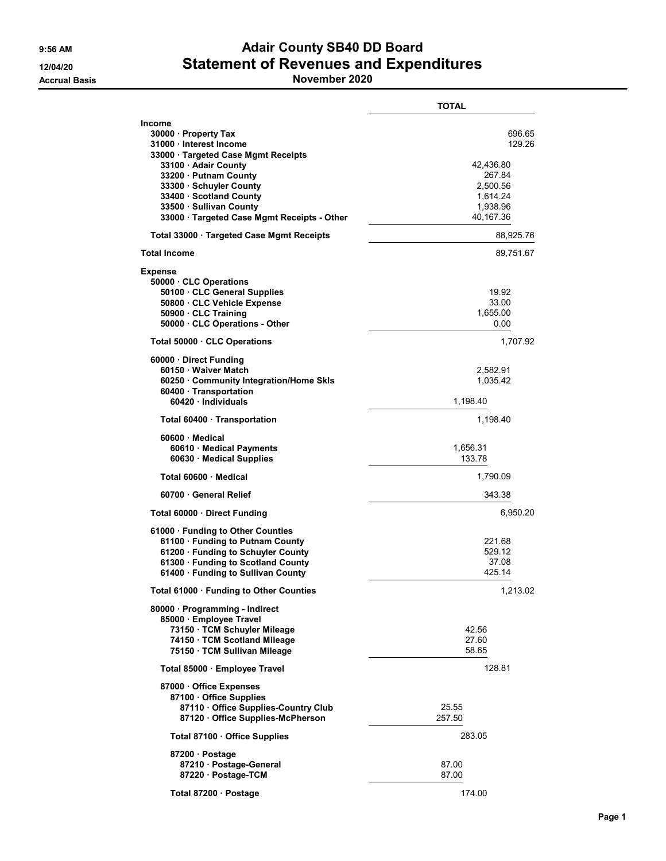## 9:56 AM **Adair County SB40 DD Board** 12/04/20 Statement of Revenues and Expenditures

Accrual Basis **November 2020** 

|                                                                                                                                                                                                                                                                                   | <b>TOTAL</b>                                                                             |
|-----------------------------------------------------------------------------------------------------------------------------------------------------------------------------------------------------------------------------------------------------------------------------------|------------------------------------------------------------------------------------------|
| Income<br>30000 · Property Tax<br>31000 · Interest Income<br>33000 · Targeted Case Mgmt Receipts<br>33100 · Adair County<br>33200 · Putnam County<br>33300 · Schuyler County<br>33400 · Scotland County<br>33500 · Sullivan County<br>33000 · Targeted Case Mgmt Receipts - Other | 696.65<br>129.26<br>42,436.80<br>267.84<br>2,500.56<br>1,614.24<br>1,938.96<br>40,167.36 |
| Total 33000 · Targeted Case Mgmt Receipts                                                                                                                                                                                                                                         | 88,925.76                                                                                |
| <b>Total Income</b>                                                                                                                                                                                                                                                               | 89,751.67                                                                                |
| <b>Expense</b><br>50000 · CLC Operations<br>50100 · CLC General Supplies<br>50800 · CLC Vehicle Expense<br>50900 · CLC Training<br>50000 · CLC Operations - Other                                                                                                                 | 19.92<br>33.00<br>1.655.00<br>0.00                                                       |
| Total 50000 · CLC Operations                                                                                                                                                                                                                                                      | 1,707.92                                                                                 |
| 60000 · Direct Funding<br>60150 · Waiver Match<br>60250 · Community Integration/Home Skls<br>60400 · Transportation<br>60420 · Individuals                                                                                                                                        | 2,582.91<br>1,035.42<br>1,198.40                                                         |
| Total 60400 Transportation                                                                                                                                                                                                                                                        | 1,198.40                                                                                 |
| $60600 \cdot$ Medical<br>60610 · Medical Payments<br>60630 Medical Supplies                                                                                                                                                                                                       | 1,656.31<br>133.78                                                                       |
| Total 60600 Medical                                                                                                                                                                                                                                                               | 1,790.09                                                                                 |
| 60700 General Relief                                                                                                                                                                                                                                                              | 343.38                                                                                   |
| Total 60000 Direct Funding                                                                                                                                                                                                                                                        | 6,950.20                                                                                 |
| 61000 · Funding to Other Counties<br>61100 · Funding to Putnam County<br>61200 · Funding to Schuyler County<br>61300 · Funding to Scotland County<br>61400 · Funding to Sullivan County                                                                                           | 221.68<br>529.12<br>37.08<br>425.14                                                      |
| Total 61000 · Funding to Other Counties                                                                                                                                                                                                                                           | 1,213.02                                                                                 |
| 80000 · Programming - Indirect<br>85000 · Employee Travel<br>73150 · TCM Schuyler Mileage<br>74150 · TCM Scotland Mileage<br>75150 · TCM Sullivan Mileage                                                                                                                         | 42.56<br>27.60<br>58.65                                                                  |
| Total 85000 · Employee Travel                                                                                                                                                                                                                                                     | 128.81                                                                                   |
| 87000 Office Expenses<br>87100 Office Supplies<br>87110 Office Supplies-Country Club<br>87120 Office Supplies-McPherson                                                                                                                                                           | 25.55<br>257.50                                                                          |
| Total 87100 · Office Supplies                                                                                                                                                                                                                                                     | 283.05                                                                                   |
| 87200 · Postage<br>87210 Postage-General<br>87220 · Postage-TCM                                                                                                                                                                                                                   | 87.00<br>87.00                                                                           |
| Total 87200 · Postage                                                                                                                                                                                                                                                             | 174.00                                                                                   |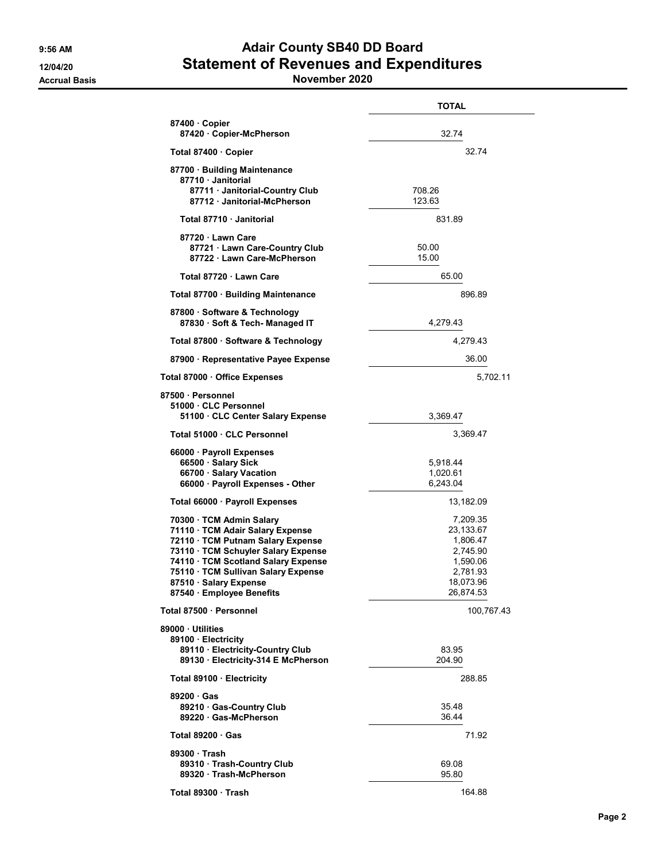## 9:56 AM **Adair County SB40 DD Board** 12/04/20 Statement of Revenues and Expenditures

Accrual Basis **November 2020** 

|                                                                                                                                                                                                                                                                               | <b>TOTAL</b>                                                                                    |
|-------------------------------------------------------------------------------------------------------------------------------------------------------------------------------------------------------------------------------------------------------------------------------|-------------------------------------------------------------------------------------------------|
| 87400 Copier<br>87420 Copier-McPherson                                                                                                                                                                                                                                        | 32.74                                                                                           |
| Total 87400 · Copier                                                                                                                                                                                                                                                          | 32.74                                                                                           |
| 87700 · Building Maintenance<br>87710 · Janitorial<br>87711 · Janitorial-Country Club<br>87712 Janitorial-McPherson                                                                                                                                                           | 708.26<br>123.63                                                                                |
| Total 87710 Janitorial                                                                                                                                                                                                                                                        | 831.89                                                                                          |
| 87720 · Lawn Care<br>87721 · Lawn Care-Country Club<br>87722 · Lawn Care-McPherson                                                                                                                                                                                            | 50.00<br>15.00                                                                                  |
| Total 87720 · Lawn Care                                                                                                                                                                                                                                                       | 65.00                                                                                           |
| Total 87700 · Building Maintenance                                                                                                                                                                                                                                            | 896.89                                                                                          |
| 87800 · Software & Technology<br>87830 · Soft & Tech- Managed IT                                                                                                                                                                                                              | 4,279.43                                                                                        |
| Total 87800 · Software & Technology                                                                                                                                                                                                                                           | 4,279.43                                                                                        |
| 87900 · Representative Payee Expense                                                                                                                                                                                                                                          | 36.00                                                                                           |
| Total 87000 · Office Expenses                                                                                                                                                                                                                                                 | 5,702.11                                                                                        |
| 87500 · Personnel<br>51000 CLC Personnel<br>51100 CLC Center Salary Expense                                                                                                                                                                                                   | 3,369.47                                                                                        |
| Total 51000 · CLC Personnel                                                                                                                                                                                                                                                   | 3,369.47                                                                                        |
| 66000 · Payroll Expenses<br>66500 · Salary Sick<br>66700 · Salary Vacation<br>66000 · Payroll Expenses - Other                                                                                                                                                                | 5,918.44<br>1,020.61<br>6,243.04                                                                |
| Total 66000 · Payroll Expenses                                                                                                                                                                                                                                                | 13,182.09                                                                                       |
| 70300 · TCM Admin Salary<br>71110 · TCM Adair Salary Expense<br>72110 · TCM Putnam Salary Expense<br>73110 · TCM Schuyler Salary Expense<br>74110 · TCM Scotland Salary Expense<br>75110 · TCM Sullivan Salary Expense<br>87510 · Salary Expense<br>87540 · Employee Benefits | 7,209.35<br>23,133.67<br>1,806.47<br>2,745.90<br>1,590.06<br>2,781.93<br>18,073.96<br>26,874.53 |
| Total 87500 · Personnel                                                                                                                                                                                                                                                       | 100,767.43                                                                                      |
| 89000 Utilities<br>89100 · Electricity<br>89110 · Electricity-Country Club<br>89130 · Electricity-314 E McPherson                                                                                                                                                             | 83.95<br>204.90                                                                                 |
| Total 89100 · Electricity                                                                                                                                                                                                                                                     | 288.85                                                                                          |
| 89200 Gas<br>89210 Gas-Country Club<br>89220 Gas-McPherson                                                                                                                                                                                                                    | 35.48<br>36.44                                                                                  |
| Total 89200 · Gas                                                                                                                                                                                                                                                             | 71.92                                                                                           |
| 89300 Trash<br>89310 · Trash-Country Club<br>89320 Trash-McPherson                                                                                                                                                                                                            | 69.08<br>95.80                                                                                  |
| Total 89300 Trash                                                                                                                                                                                                                                                             | 164.88                                                                                          |